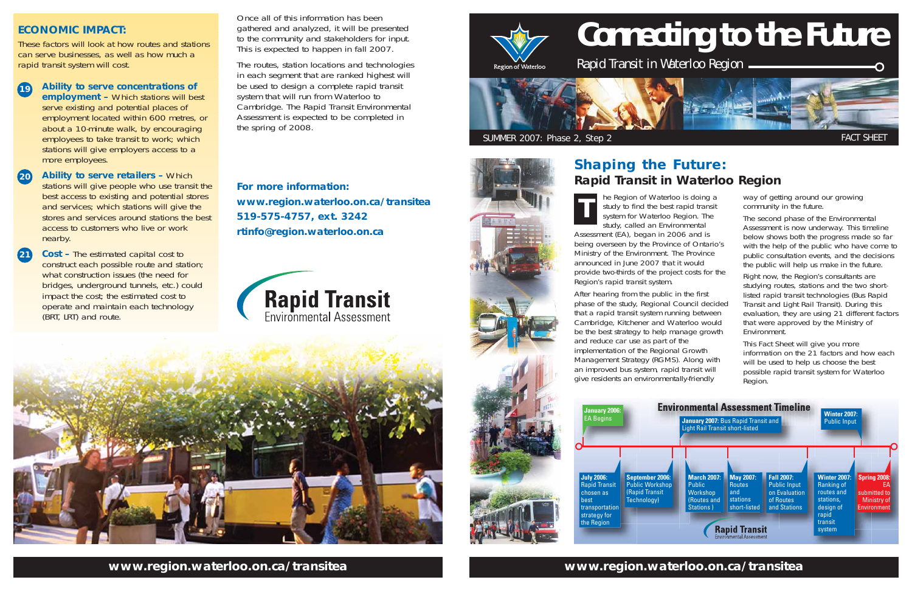# **Connecting to the Future**

Rapid Transit in Waterloo Region



# **www.region.waterloo.on.ca/transitea www.region.waterloo.on.ca/transitea**

he Region of Waterloo is doing a study, called an Environmental

Assessment (EA), began in 2006 and is being overseen by the Province of Ontario's Ministry of the Environment. The Province announced in June 2007 that it woulc provide two-thirds of the project costs for the Region's rapid transit system.

After hearing from the public in the first phase of the study, Regional Council decided that a rapid transit system running between Cambridge, Kitchener and Waterloo would be the best strategy to help manage growth and reduce car use as part of the implementation of the Regional Growth Management Strategy (RGMS). Along with an improved bus system, rapid transit will give residents an environmentally-friendly

way of getting around our growing community in the future.

study to find the best rapid transit system for Waterloo Region. The **T**

The second phase of the Environmental Assessment is now underway. This timeline below shows both the progress made so far with the help of the public who have come to public consultation events, and the decisions the public will help us make in the future.

Right now, the Region's consultants are studying routes, stations and the two shortlisted rapid transit technologies (Bus Rapid Transit and Light Rail Transit). During this evaluation, they are using 21 different factors that were approved by the Ministry of Environment.

This Fact Sheet will give you more information on the 21 factors and how each will be used to help us choose the best possible rapid transit system for Waterloo Region.

# **Shaping the Future: Rapid Transit in Waterloo Region**



Once all of this information has beengathered and analyzed, it will be presented to the community and stakeholders for input. This is expected to happen in fall 2007.

The routes, station locations and technologies in each segment that are ranked highest will be used to design a complete rapid transit system that will run from Waterloo to Cambridge. The Rapid Transit Environmental Assessment is expected to be completed in the spring of 2008.

### **ECONOMIC IMPACT:**

These factors will look at how routes and stationscan serve businesses, as well as how much a rapid transit system will cost.

- **Ability to serve concentrations of employment –** Which stations will best serve existing and potential places of employment located within 600 metres, or about a 10-minute walk, by encouraging employees to take transit to work; which stations will give employers access to a more employees. **19**
- **Ability to serve retailers –** Which stations will give people who use transit the best access to existing and potential stores and services; which stations will give the stores and services around stations the best access to customers who live or worknearby. **20**
- **Cost** The estimated capital cost to construct each possible route and station; what construction issues (the need for bridges, underground tunnels, etc.) could impact the cost; the estimated cost to operate and maintain each technology (BRT, LRT) and route. **21**

**For more information:www.region.waterloo.on.ca/transitea 519-575-4757, ext. 3242 rtinfo@region.waterloo.on.ca** 





Region of Waterloo

SUMMER 2007: Phase 2, Step 2